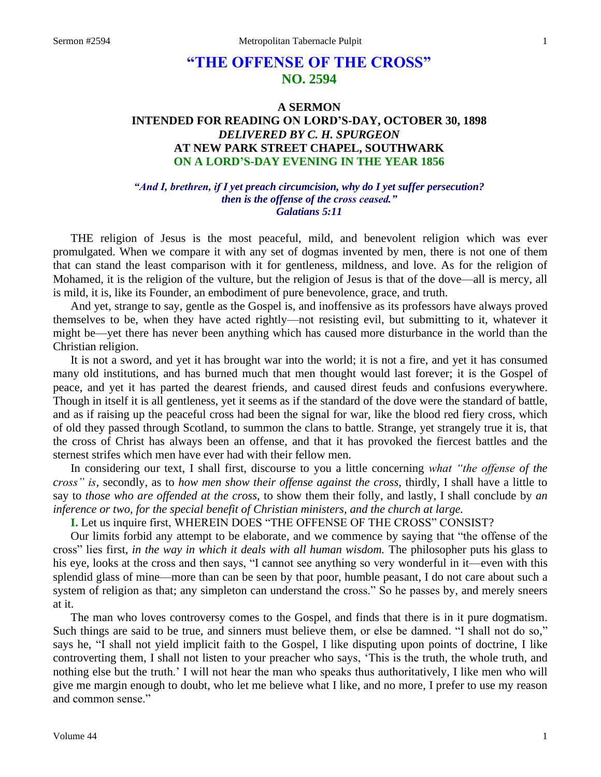# **"THE OFFENSE OF THE CROSS" NO. 2594**

# **A SERMON INTENDED FOR READING ON LORD'S-DAY, OCTOBER 30, 1898** *DELIVERED BY C. H. SPURGEON* **AT NEW PARK STREET CHAPEL, SOUTHWARK ON A LORD'S-DAY EVENING IN THE YEAR 1856**

#### *"And I, brethren, if I yet preach circumcision, why do I yet suffer persecution? then is the offense of the cross ceased." Galatians 5:11*

THE religion of Jesus is the most peaceful, mild, and benevolent religion which was ever promulgated. When we compare it with any set of dogmas invented by men, there is not one of them that can stand the least comparison with it for gentleness, mildness, and love. As for the religion of Mohamed, it is the religion of the vulture, but the religion of Jesus is that of the dove—all is mercy, all is mild, it is, like its Founder, an embodiment of pure benevolence, grace, and truth.

And yet, strange to say, gentle as the Gospel is, and inoffensive as its professors have always proved themselves to be, when they have acted rightly—not resisting evil, but submitting to it, whatever it might be—yet there has never been anything which has caused more disturbance in the world than the Christian religion.

It is not a sword, and yet it has brought war into the world; it is not a fire, and yet it has consumed many old institutions, and has burned much that men thought would last forever; it is the Gospel of peace, and yet it has parted the dearest friends, and caused direst feuds and confusions everywhere. Though in itself it is all gentleness, yet it seems as if the standard of the dove were the standard of battle, and as if raising up the peaceful cross had been the signal for war, like the blood red fiery cross, which of old they passed through Scotland, to summon the clans to battle. Strange, yet strangely true it is, that the cross of Christ has always been an offense, and that it has provoked the fiercest battles and the sternest strifes which men have ever had with their fellow men.

In considering our text, I shall first, discourse to you a little concerning *what "the offense of the cross" is,* secondly, as to *how men show their offense against the cross,* thirdly, I shall have a little to say to *those who are offended at the cross,* to show them their folly, and lastly, I shall conclude by *an inference or two, for the special benefit of Christian ministers, and the church at large.*

**I.** Let us inquire first, WHEREIN DOES "THE OFFENSE OF THE CROSS" CONSIST?

Our limits forbid any attempt to be elaborate, and we commence by saying that "the offense of the cross" lies first, *in the way in which it deals with all human wisdom.* The philosopher puts his glass to his eye, looks at the cross and then says, "I cannot see anything so very wonderful in it—even with this splendid glass of mine—more than can be seen by that poor, humble peasant, I do not care about such a system of religion as that; any simpleton can understand the cross." So he passes by, and merely sneers at it.

The man who loves controversy comes to the Gospel, and finds that there is in it pure dogmatism. Such things are said to be true, and sinners must believe them, or else be damned. "I shall not do so," says he, "I shall not yield implicit faith to the Gospel, I like disputing upon points of doctrine, I like controverting them, I shall not listen to your preacher who says, 'This is the truth, the whole truth, and nothing else but the truth.' I will not hear the man who speaks thus authoritatively, I like men who will give me margin enough to doubt, who let me believe what I like, and no more, I prefer to use my reason and common sense."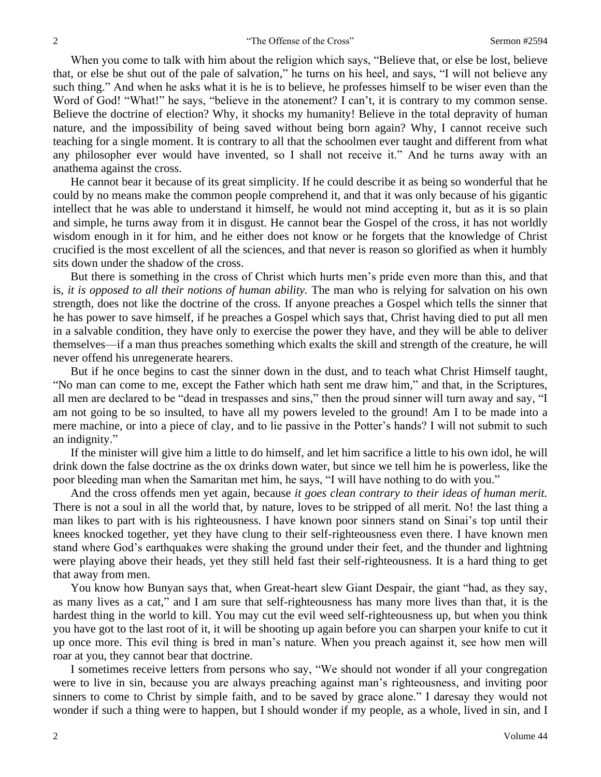When you come to talk with him about the religion which says, "Believe that, or else be lost, believe that, or else be shut out of the pale of salvation," he turns on his heel, and says, "I will not believe any such thing." And when he asks what it is he is to believe, he professes himself to be wiser even than the Word of God! "What!" he says, "believe in the atonement? I can't, it is contrary to my common sense. Believe the doctrine of election? Why, it shocks my humanity! Believe in the total depravity of human nature, and the impossibility of being saved without being born again? Why, I cannot receive such teaching for a single moment. It is contrary to all that the schoolmen ever taught and different from what any philosopher ever would have invented, so I shall not receive it." And he turns away with an anathema against the cross.

He cannot bear it because of its great simplicity. If he could describe it as being so wonderful that he could by no means make the common people comprehend it, and that it was only because of his gigantic intellect that he was able to understand it himself, he would not mind accepting it, but as it is so plain and simple, he turns away from it in disgust. He cannot bear the Gospel of the cross, it has not worldly wisdom enough in it for him, and he either does not know or he forgets that the knowledge of Christ crucified is the most excellent of all the sciences, and that never is reason so glorified as when it humbly sits down under the shadow of the cross.

But there is something in the cross of Christ which hurts men's pride even more than this, and that is, *it is opposed to all their notions of human ability.* The man who is relying for salvation on his own strength, does not like the doctrine of the cross. If anyone preaches a Gospel which tells the sinner that he has power to save himself, if he preaches a Gospel which says that, Christ having died to put all men in a salvable condition, they have only to exercise the power they have, and they will be able to deliver themselves—if a man thus preaches something which exalts the skill and strength of the creature, he will never offend his unregenerate hearers.

But if he once begins to cast the sinner down in the dust, and to teach what Christ Himself taught, "No man can come to me, except the Father which hath sent me draw him," and that, in the Scriptures, all men are declared to be "dead in trespasses and sins," then the proud sinner will turn away and say, "I am not going to be so insulted, to have all my powers leveled to the ground! Am I to be made into a mere machine, or into a piece of clay, and to lie passive in the Potter's hands? I will not submit to such an indignity."

If the minister will give him a little to do himself, and let him sacrifice a little to his own idol, he will drink down the false doctrine as the ox drinks down water, but since we tell him he is powerless, like the poor bleeding man when the Samaritan met him, he says, "I will have nothing to do with you."

And the cross offends men yet again, because *it goes clean contrary to their ideas of human merit.*  There is not a soul in all the world that, by nature, loves to be stripped of all merit. No! the last thing a man likes to part with is his righteousness. I have known poor sinners stand on Sinai's top until their knees knocked together, yet they have clung to their self-righteousness even there. I have known men stand where God's earthquakes were shaking the ground under their feet, and the thunder and lightning were playing above their heads, yet they still held fast their self-righteousness. It is a hard thing to get that away from men.

You know how Bunyan says that, when Great-heart slew Giant Despair, the giant "had, as they say, as many lives as a cat," and I am sure that self-righteousness has many more lives than that, it is the hardest thing in the world to kill. You may cut the evil weed self-righteousness up, but when you think you have got to the last root of it, it will be shooting up again before you can sharpen your knife to cut it up once more. This evil thing is bred in man's nature. When you preach against it, see how men will roar at you, they cannot bear that doctrine.

I sometimes receive letters from persons who say, "We should not wonder if all your congregation were to live in sin, because you are always preaching against man's righteousness, and inviting poor sinners to come to Christ by simple faith, and to be saved by grace alone." I daresay they would not wonder if such a thing were to happen, but I should wonder if my people, as a whole, lived in sin, and I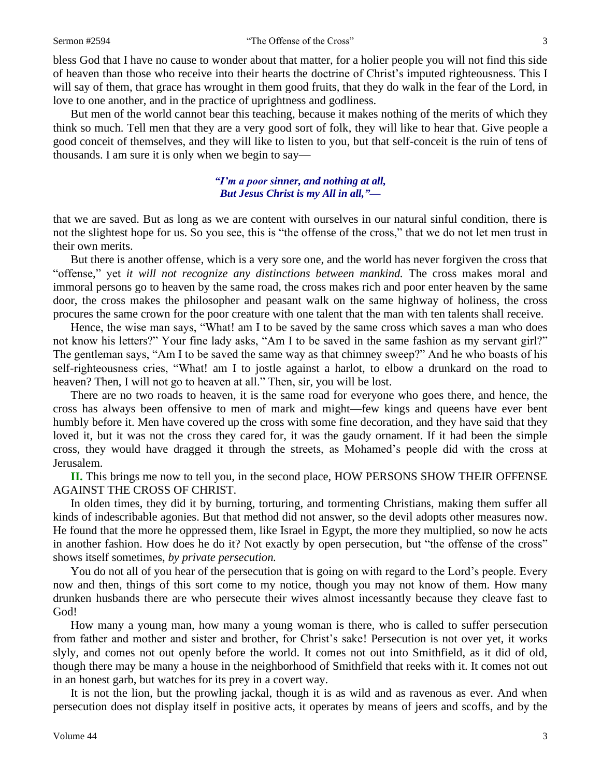bless God that I have no cause to wonder about that matter, for a holier people you will not find this side of heaven than those who receive into their hearts the doctrine of Christ's imputed righteousness. This I will say of them, that grace has wrought in them good fruits, that they do walk in the fear of the Lord, in love to one another, and in the practice of uprightness and godliness.

But men of the world cannot bear this teaching, because it makes nothing of the merits of which they think so much. Tell men that they are a very good sort of folk, they will like to hear that. Give people a good conceit of themselves, and they will like to listen to you, but that self-conceit is the ruin of tens of thousands. I am sure it is only when we begin to say—

## *"I'm a poor sinner, and nothing at all, But Jesus Christ is my All in all,"—*

that we are saved. But as long as we are content with ourselves in our natural sinful condition, there is not the slightest hope for us. So you see, this is "the offense of the cross," that we do not let men trust in their own merits.

But there is another offense, which is a very sore one, and the world has never forgiven the cross that "offense," yet *it will not recognize any distinctions between mankind.* The cross makes moral and immoral persons go to heaven by the same road, the cross makes rich and poor enter heaven by the same door, the cross makes the philosopher and peasant walk on the same highway of holiness, the cross procures the same crown for the poor creature with one talent that the man with ten talents shall receive.

Hence, the wise man says, "What! am I to be saved by the same cross which saves a man who does not know his letters?" Your fine lady asks, "Am I to be saved in the same fashion as my servant girl?" The gentleman says, "Am I to be saved the same way as that chimney sweep?" And he who boasts of his self-righteousness cries, "What! am I to jostle against a harlot, to elbow a drunkard on the road to heaven? Then, I will not go to heaven at all." Then, sir, you will be lost.

There are no two roads to heaven, it is the same road for everyone who goes there, and hence, the cross has always been offensive to men of mark and might—few kings and queens have ever bent humbly before it. Men have covered up the cross with some fine decoration, and they have said that they loved it, but it was not the cross they cared for, it was the gaudy ornament. If it had been the simple cross, they would have dragged it through the streets, as Mohamed's people did with the cross at Jerusalem.

**II.** This brings me now to tell you, in the second place, HOW PERSONS SHOW THEIR OFFENSE AGAINST THE CROSS OF CHRIST.

In olden times, they did it by burning, torturing, and tormenting Christians, making them suffer all kinds of indescribable agonies. But that method did not answer, so the devil adopts other measures now. He found that the more he oppressed them, like Israel in Egypt, the more they multiplied, so now he acts in another fashion. How does he do it? Not exactly by open persecution, but "the offense of the cross" shows itself sometimes, *by private persecution.* 

You do not all of you hear of the persecution that is going on with regard to the Lord's people. Every now and then, things of this sort come to my notice, though you may not know of them. How many drunken husbands there are who persecute their wives almost incessantly because they cleave fast to God!

How many a young man, how many a young woman is there, who is called to suffer persecution from father and mother and sister and brother, for Christ's sake! Persecution is not over yet, it works slyly, and comes not out openly before the world. It comes not out into Smithfield, as it did of old, though there may be many a house in the neighborhood of Smithfield that reeks with it. It comes not out in an honest garb, but watches for its prey in a covert way.

It is not the lion, but the prowling jackal, though it is as wild and as ravenous as ever. And when persecution does not display itself in positive acts, it operates by means of jeers and scoffs, and by the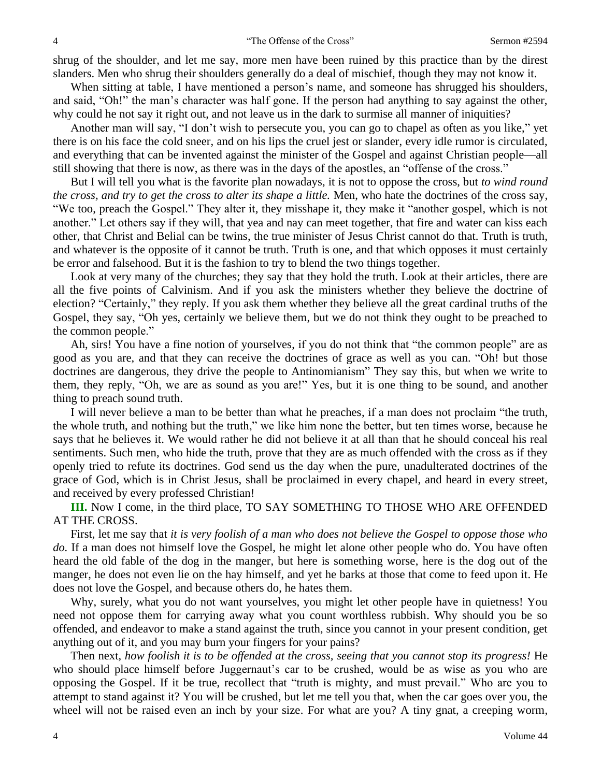shrug of the shoulder, and let me say, more men have been ruined by this practice than by the direst slanders. Men who shrug their shoulders generally do a deal of mischief, though they may not know it.

When sitting at table, I have mentioned a person's name, and someone has shrugged his shoulders, and said, "Oh!" the man's character was half gone. If the person had anything to say against the other, why could he not say it right out, and not leave us in the dark to surmise all manner of iniquities?

Another man will say, "I don't wish to persecute you, you can go to chapel as often as you like," yet there is on his face the cold sneer, and on his lips the cruel jest or slander, every idle rumor is circulated, and everything that can be invented against the minister of the Gospel and against Christian people—all still showing that there is now, as there was in the days of the apostles, an "offense of the cross."

But I will tell you what is the favorite plan nowadays, it is not to oppose the cross, but *to wind round the cross, and try to get the cross to alter its shape a little.* Men, who hate the doctrines of the cross say, "We too, preach the Gospel." They alter it, they misshape it, they make it "another gospel, which is not another." Let others say if they will, that yea and nay can meet together, that fire and water can kiss each other, that Christ and Belial can be twins, the true minister of Jesus Christ cannot do that. Truth is truth, and whatever is the opposite of it cannot be truth. Truth is one, and that which opposes it must certainly be error and falsehood. But it is the fashion to try to blend the two things together.

Look at very many of the churches; they say that they hold the truth. Look at their articles, there are all the five points of Calvinism. And if you ask the ministers whether they believe the doctrine of election? "Certainly," they reply. If you ask them whether they believe all the great cardinal truths of the Gospel, they say, "Oh yes, certainly we believe them, but we do not think they ought to be preached to the common people."

Ah, sirs! You have a fine notion of yourselves, if you do not think that "the common people" are as good as you are, and that they can receive the doctrines of grace as well as you can. "Oh! but those doctrines are dangerous, they drive the people to Antinomianism" They say this, but when we write to them, they reply, "Oh, we are as sound as you are!" Yes, but it is one thing to be sound, and another thing to preach sound truth.

I will never believe a man to be better than what he preaches, if a man does not proclaim "the truth, the whole truth, and nothing but the truth," we like him none the better, but ten times worse, because he says that he believes it. We would rather he did not believe it at all than that he should conceal his real sentiments. Such men, who hide the truth, prove that they are as much offended with the cross as if they openly tried to refute its doctrines. God send us the day when the pure, unadulterated doctrines of the grace of God, which is in Christ Jesus, shall be proclaimed in every chapel, and heard in every street, and received by every professed Christian!

**III.** Now I come, in the third place, TO SAY SOMETHING TO THOSE WHO ARE OFFENDED AT THE CROSS.

First, let me say that *it is very foolish of a man who does not believe the Gospel to oppose those who*  do. If a man does not himself love the Gospel, he might let alone other people who do. You have often heard the old fable of the dog in the manger, but here is something worse, here is the dog out of the manger, he does not even lie on the hay himself, and yet he barks at those that come to feed upon it. He does not love the Gospel, and because others do, he hates them.

Why, surely, what you do not want yourselves, you might let other people have in quietness! You need not oppose them for carrying away what you count worthless rubbish. Why should you be so offended, and endeavor to make a stand against the truth, since you cannot in your present condition, get anything out of it, and you may burn your fingers for your pains?

Then next, *how foolish it is to be offended at the cross, seeing that you cannot stop its progress!* He who should place himself before Juggernaut's car to be crushed, would be as wise as you who are opposing the Gospel. If it be true, recollect that "truth is mighty, and must prevail." Who are you to attempt to stand against it? You will be crushed, but let me tell you that, when the car goes over you, the wheel will not be raised even an inch by your size. For what are you? A tiny gnat, a creeping worm,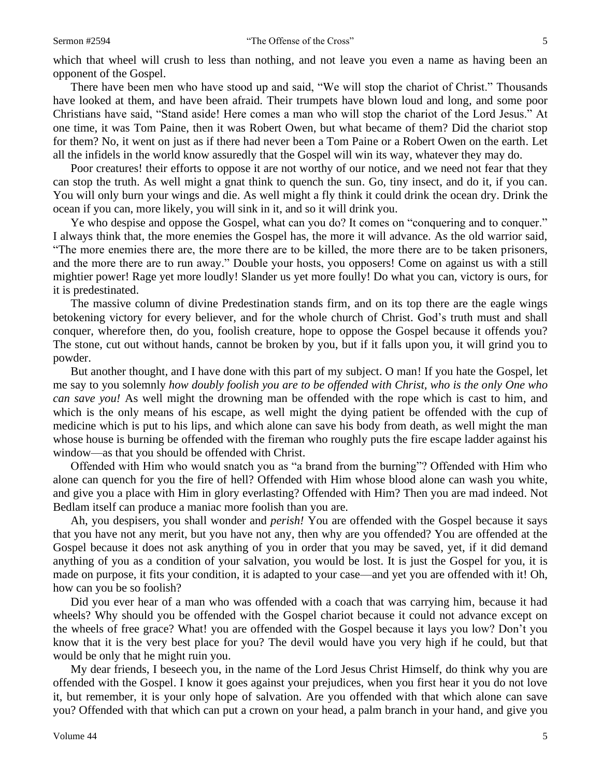which that wheel will crush to less than nothing, and not leave you even a name as having been an opponent of the Gospel.

There have been men who have stood up and said, "We will stop the chariot of Christ." Thousands have looked at them, and have been afraid. Their trumpets have blown loud and long, and some poor Christians have said, "Stand aside! Here comes a man who will stop the chariot of the Lord Jesus." At one time, it was Tom Paine, then it was Robert Owen, but what became of them? Did the chariot stop for them? No, it went on just as if there had never been a Tom Paine or a Robert Owen on the earth. Let all the infidels in the world know assuredly that the Gospel will win its way, whatever they may do.

Poor creatures! their efforts to oppose it are not worthy of our notice, and we need not fear that they can stop the truth. As well might a gnat think to quench the sun. Go, tiny insect, and do it, if you can. You will only burn your wings and die. As well might a fly think it could drink the ocean dry. Drink the ocean if you can, more likely, you will sink in it, and so it will drink you.

Ye who despise and oppose the Gospel, what can you do? It comes on "conquering and to conquer." I always think that, the more enemies the Gospel has, the more it will advance. As the old warrior said, "The more enemies there are, the more there are to be killed, the more there are to be taken prisoners, and the more there are to run away." Double your hosts, you opposers! Come on against us with a still mightier power! Rage yet more loudly! Slander us yet more foully! Do what you can, victory is ours, for it is predestinated.

The massive column of divine Predestination stands firm, and on its top there are the eagle wings betokening victory for every believer, and for the whole church of Christ. God's truth must and shall conquer, wherefore then, do you, foolish creature, hope to oppose the Gospel because it offends you? The stone, cut out without hands, cannot be broken by you, but if it falls upon you, it will grind you to powder.

But another thought, and I have done with this part of my subject. O man! If you hate the Gospel, let me say to you solemnly *how doubly foolish you are to be offended with Christ, who is the only One who can save you!* As well might the drowning man be offended with the rope which is cast to him, and which is the only means of his escape, as well might the dying patient be offended with the cup of medicine which is put to his lips, and which alone can save his body from death, as well might the man whose house is burning be offended with the fireman who roughly puts the fire escape ladder against his window—as that you should be offended with Christ.

Offended with Him who would snatch you as "a brand from the burning"? Offended with Him who alone can quench for you the fire of hell? Offended with Him whose blood alone can wash you white, and give you a place with Him in glory everlasting? Offended with Him? Then you are mad indeed. Not Bedlam itself can produce a maniac more foolish than you are.

Ah, you despisers, you shall wonder and *perish!* You are offended with the Gospel because it says that you have not any merit, but you have not any, then why are you offended? You are offended at the Gospel because it does not ask anything of you in order that you may be saved, yet, if it did demand anything of you as a condition of your salvation, you would be lost. It is just the Gospel for you, it is made on purpose, it fits your condition, it is adapted to your case—and yet you are offended with it! Oh, how can you be so foolish?

Did you ever hear of a man who was offended with a coach that was carrying him, because it had wheels? Why should you be offended with the Gospel chariot because it could not advance except on the wheels of free grace? What! you are offended with the Gospel because it lays you low? Don't you know that it is the very best place for you? The devil would have you very high if he could, but that would be only that he might ruin you.

My dear friends, I beseech you, in the name of the Lord Jesus Christ Himself, do think why you are offended with the Gospel. I know it goes against your prejudices, when you first hear it you do not love it, but remember, it is your only hope of salvation. Are you offended with that which alone can save you? Offended with that which can put a crown on your head, a palm branch in your hand, and give you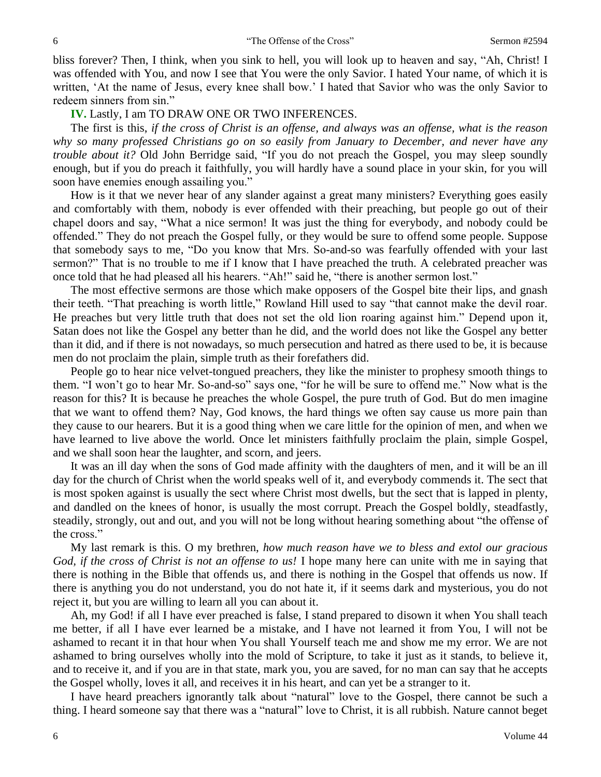bliss forever? Then, I think, when you sink to hell, you will look up to heaven and say, "Ah, Christ! I was offended with You, and now I see that You were the only Savior. I hated Your name, of which it is written, 'At the name of Jesus, every knee shall bow.' I hated that Savior who was the only Savior to redeem sinners from sin."

## **IV.** Lastly, I am TO DRAW ONE OR TWO INFERENCES.

The first is this, *if the cross of Christ is an offense, and always was an offense, what is the reason why so many professed Christians go on so easily from January to December, and never have any trouble about it?* Old John Berridge said, "If you do not preach the Gospel, you may sleep soundly enough, but if you do preach it faithfully, you will hardly have a sound place in your skin, for you will soon have enemies enough assailing you."

How is it that we never hear of any slander against a great many ministers? Everything goes easily and comfortably with them, nobody is ever offended with their preaching, but people go out of their chapel doors and say, "What a nice sermon! It was just the thing for everybody, and nobody could be offended." They do not preach the Gospel fully, or they would be sure to offend some people. Suppose that somebody says to me, "Do you know that Mrs. So-and-so was fearfully offended with your last sermon?" That is no trouble to me if I know that I have preached the truth. A celebrated preacher was once told that he had pleased all his hearers. "Ah!" said he, "there is another sermon lost."

The most effective sermons are those which make opposers of the Gospel bite their lips, and gnash their teeth. "That preaching is worth little," Rowland Hill used to say "that cannot make the devil roar. He preaches but very little truth that does not set the old lion roaring against him." Depend upon it, Satan does not like the Gospel any better than he did, and the world does not like the Gospel any better than it did, and if there is not nowadays, so much persecution and hatred as there used to be, it is because men do not proclaim the plain, simple truth as their forefathers did.

People go to hear nice velvet-tongued preachers, they like the minister to prophesy smooth things to them. "I won't go to hear Mr. So-and-so" says one, "for he will be sure to offend me." Now what is the reason for this? It is because he preaches the whole Gospel, the pure truth of God. But do men imagine that we want to offend them? Nay, God knows, the hard things we often say cause us more pain than they cause to our hearers. But it is a good thing when we care little for the opinion of men, and when we have learned to live above the world. Once let ministers faithfully proclaim the plain, simple Gospel, and we shall soon hear the laughter, and scorn, and jeers.

It was an ill day when the sons of God made affinity with the daughters of men, and it will be an ill day for the church of Christ when the world speaks well of it, and everybody commends it. The sect that is most spoken against is usually the sect where Christ most dwells, but the sect that is lapped in plenty, and dandled on the knees of honor, is usually the most corrupt. Preach the Gospel boldly, steadfastly, steadily, strongly, out and out, and you will not be long without hearing something about "the offense of the cross."

My last remark is this. O my brethren, *how much reason have we to bless and extol our gracious God, if the cross of Christ is not an offense to us!* I hope many here can unite with me in saying that there is nothing in the Bible that offends us, and there is nothing in the Gospel that offends us now. If there is anything you do not understand, you do not hate it, if it seems dark and mysterious, you do not reject it, but you are willing to learn all you can about it.

Ah, my God! if all I have ever preached is false, I stand prepared to disown it when You shall teach me better, if all I have ever learned be a mistake, and I have not learned it from You, I will not be ashamed to recant it in that hour when You shall Yourself teach me and show me my error. We are not ashamed to bring ourselves wholly into the mold of Scripture, to take it just as it stands, to believe it, and to receive it, and if you are in that state, mark you, you are saved, for no man can say that he accepts the Gospel wholly, loves it all, and receives it in his heart, and can yet be a stranger to it.

I have heard preachers ignorantly talk about "natural" love to the Gospel, there cannot be such a thing. I heard someone say that there was a "natural" love to Christ, it is all rubbish. Nature cannot beget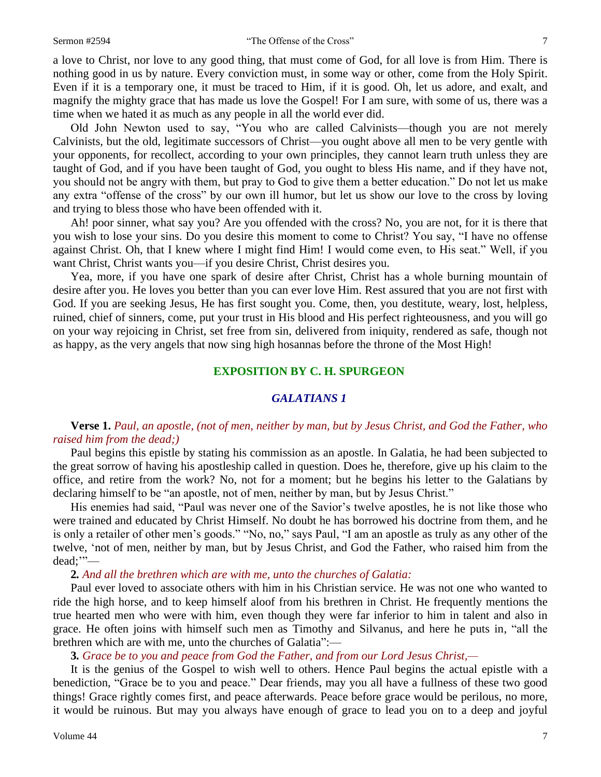a love to Christ, nor love to any good thing, that must come of God, for all love is from Him. There is nothing good in us by nature. Every conviction must, in some way or other, come from the Holy Spirit. Even if it is a temporary one, it must be traced to Him, if it is good. Oh, let us adore, and exalt, and magnify the mighty grace that has made us love the Gospel! For I am sure, with some of us, there was a time when we hated it as much as any people in all the world ever did.

Old John Newton used to say, "You who are called Calvinists—though you are not merely Calvinists, but the old, legitimate successors of Christ—you ought above all men to be very gentle with your opponents, for recollect, according to your own principles, they cannot learn truth unless they are taught of God, and if you have been taught of God, you ought to bless His name, and if they have not, you should not be angry with them, but pray to God to give them a better education." Do not let us make any extra "offense of the cross" by our own ill humor, but let us show our love to the cross by loving and trying to bless those who have been offended with it.

Ah! poor sinner, what say you? Are you offended with the cross? No, you are not, for it is there that you wish to lose your sins. Do you desire this moment to come to Christ? You say, "I have no offense against Christ. Oh, that I knew where I might find Him! I would come even, to His seat." Well, if you want Christ, Christ wants you—if you desire Christ, Christ desires you.

Yea, more, if you have one spark of desire after Christ, Christ has a whole burning mountain of desire after you. He loves you better than you can ever love Him. Rest assured that you are not first with God. If you are seeking Jesus, He has first sought you. Come, then, you destitute, weary, lost, helpless, ruined, chief of sinners, come, put your trust in His blood and His perfect righteousness, and you will go on your way rejoicing in Christ, set free from sin, delivered from iniquity, rendered as safe, though not as happy, as the very angels that now sing high hosannas before the throne of the Most High!

### **EXPOSITION BY C. H. SPURGEON**

## *GALATIANS 1*

## **Verse 1.** *Paul, an apostle, (not of men, neither by man, but by Jesus Christ, and God the Father, who raised him from the dead;)*

Paul begins this epistle by stating his commission as an apostle. In Galatia, he had been subjected to the great sorrow of having his apostleship called in question. Does he, therefore, give up his claim to the office, and retire from the work? No, not for a moment; but he begins his letter to the Galatians by declaring himself to be "an apostle, not of men, neither by man, but by Jesus Christ."

His enemies had said, "Paul was never one of the Savior's twelve apostles, he is not like those who were trained and educated by Christ Himself. No doubt he has borrowed his doctrine from them, and he is only a retailer of other men's goods." "No, no," says Paul, "I am an apostle as truly as any other of the twelve, 'not of men, neither by man, but by Jesus Christ, and God the Father, who raised him from the dead;'"—

#### **2***. And all the brethren which are with me, unto the churches of Galatia:*

Paul ever loved to associate others with him in his Christian service. He was not one who wanted to ride the high horse, and to keep himself aloof from his brethren in Christ. He frequently mentions the true hearted men who were with him, even though they were far inferior to him in talent and also in grace. He often joins with himself such men as Timothy and Silvanus, and here he puts in, "all the brethren which are with me, unto the churches of Galatia":—

#### **3***. Grace be to you and peace from God the Father, and from our Lord Jesus Christ,—*

It is the genius of the Gospel to wish well to others. Hence Paul begins the actual epistle with a benediction, "Grace be to you and peace." Dear friends, may you all have a fullness of these two good things! Grace rightly comes first, and peace afterwards. Peace before grace would be perilous, no more, it would be ruinous. But may you always have enough of grace to lead you on to a deep and joyful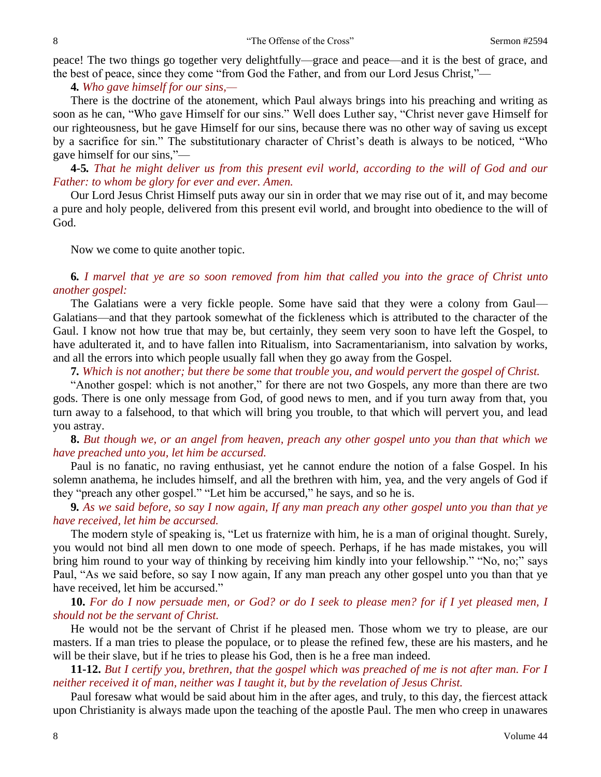peace! The two things go together very delightfully—grace and peace—and it is the best of grace, and the best of peace, since they come "from God the Father, and from our Lord Jesus Christ,"—

**4***. Who gave himself for our sins,—*

There is the doctrine of the atonement, which Paul always brings into his preaching and writing as soon as he can, "Who gave Himself for our sins." Well does Luther say, "Christ never gave Himself for our righteousness, but he gave Himself for our sins, because there was no other way of saving us except by a sacrifice for sin." The substitutionary character of Christ's death is always to be noticed, "Who gave himself for our sins,"—

**4***-***5***. That he might deliver us from this present evil world, according to the will of God and our Father: to whom be glory for ever and ever. Amen.*

Our Lord Jesus Christ Himself puts away our sin in order that we may rise out of it, and may become a pure and holy people, delivered from this present evil world, and brought into obedience to the will of God.

Now we come to quite another topic.

**6***. I marvel that ye are so soon removed from him that called you into the grace of Christ unto another gospel:*

The Galatians were a very fickle people. Some have said that they were a colony from Gaul— Galatians—and that they partook somewhat of the fickleness which is attributed to the character of the Gaul. I know not how true that may be, but certainly, they seem very soon to have left the Gospel, to have adulterated it, and to have fallen into Ritualism, into Sacramentarianism, into salvation by works, and all the errors into which people usually fall when they go away from the Gospel.

**7***. Which is not another; but there be some that trouble you, and would pervert the gospel of Christ.*

"Another gospel: which is not another," for there are not two Gospels, any more than there are two gods. There is one only message from God, of good news to men, and if you turn away from that, you turn away to a falsehood, to that which will bring you trouble, to that which will pervert you, and lead you astray.

# **8.** *But though we, or an angel from heaven, preach any other gospel unto you than that which we have preached unto you, let him be accursed.*

Paul is no fanatic, no raving enthusiast, yet he cannot endure the notion of a false Gospel. In his solemn anathema, he includes himself, and all the brethren with him, yea, and the very angels of God if they "preach any other gospel." "Let him be accursed," he says, and so he is.

**9***. As we said before, so say I now again, If any man preach any other gospel unto you than that ye have received, let him be accursed.*

The modern style of speaking is, "Let us fraternize with him, he is a man of original thought. Surely, you would not bind all men down to one mode of speech. Perhaps, if he has made mistakes, you will bring him round to your way of thinking by receiving him kindly into your fellowship." "No, no;" says Paul, "As we said before, so say I now again, If any man preach any other gospel unto you than that ye have received, let him be accursed."

**10.** *For do I now persuade men, or God? or do I seek to please men? for if I yet pleased men, I should not be the servant of Christ.*

He would not be the servant of Christ if he pleased men. Those whom we try to please, are our masters. If a man tries to please the populace, or to please the refined few, these are his masters, and he will be their slave, but if he tries to please his God, then is he a free man indeed.

**11-12.** *But I certify you, brethren, that the gospel which was preached of me is not after man. For I neither received it of man, neither was I taught it, but by the revelation of Jesus Christ.*

Paul foresaw what would be said about him in the after ages, and truly, to this day, the fiercest attack upon Christianity is always made upon the teaching of the apostle Paul. The men who creep in unawares